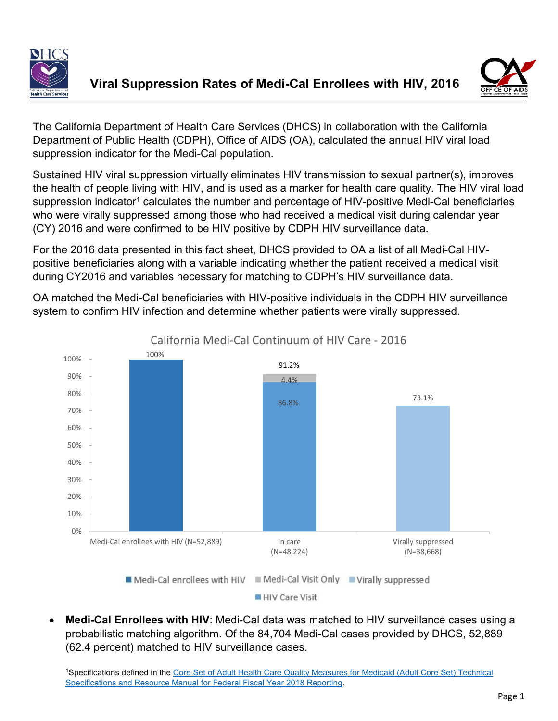



The California Department of Health Care Services (DHCS) in collaboration with the California Department of Public Health (CDPH), Office of AIDS (OA), calculated the annual HIV viral load suppression indicator for the Medi-Cal population.

Sustained HIV viral suppression virtually eliminates HIV transmission to sexual partner(s), improves the health of people living with HIV, and is used as a marker for health care quality. The HIV viral load suppression indicator<sup>1</sup> calculates the number and percentage of HIV-positive Medi-Cal beneficiaries who were virally suppressed among those who had received a medical visit during calendar year (CY) 2016 and were confirmed to be HIV positive by CDPH HIV surveillance data.

For the 2016 data presented in this fact sheet, DHCS provided to OA a list of all Medi-Cal HIVpositive beneficiaries along with a variable indicating whether the patient received a medical visit during CY2016 and variables necessary for matching to CDPH's HIV surveillance data.

OA matched the Medi-Cal beneficiaries with HIV-positive individuals in the CDPH HIV surveillance system to confirm HIV infection and determine whether patients were virally suppressed.



HIV Care Visit

• **Medi-Cal Enrollees with HIV**: Medi-Cal data was matched to HIV surveillance cases using a probabilistic matching algorithm. Of the 84,704 Medi-Cal cases provided by DHCS, 52,889 (62.4 percent) matched to HIV surveillance cases.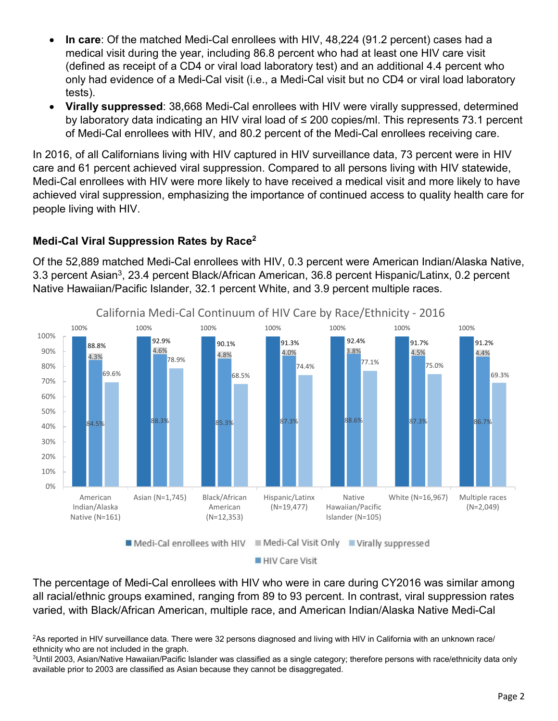- **In care**: Of the matched Medi-Cal enrollees with HIV, 48,224 (91.2 percent) cases had a medical visit during the year, including 86.8 percent who had at least one HIV care visit (defined as receipt of a CD4 or viral load laboratory test) and an additional 4.4 percent who only had evidence of a Medi-Cal visit (i.e., a Medi-Cal visit but no CD4 or viral load laboratory tests).
- **Virally suppressed**: 38,668 Medi-Cal enrollees with HIV were virally suppressed, determined by laboratory data indicating an HIV viral load of ≤ 200 copies/ml. This represents 73.1 percent of Medi-Cal enrollees with HIV, and 80.2 percent of the Medi-Cal enrollees receiving care.

In 2016, of all Californians living with HIV captured in HIV surveillance data, 73 percent were in HIV care and 61 percent achieved viral suppression. Compared to all persons living with HIV statewide, Medi-Cal enrollees with HIV were more likely to have received a medical visit and more likely to have achieved viral suppression, emphasizing the importance of continued access to quality health care for people living with HIV.

## **Medi-Cal Viral Suppression Rates by Race2**

Of the 52,889 matched Medi-Cal enrollees with HIV, 0.3 percent were American Indian/Alaska Native, 3.3 percent Asian<sup>3</sup>, 23.4 percent Black/African American, 36.8 percent Hispanic/Latinx, 0.2 percent Native Hawaiian/Pacific Islander, 32.1 percent White, and 3.9 percent multiple races.



The percentage of Medi-Cal enrollees with HIV who were in care during CY2016 was similar among all racial/ethnic groups examined, ranging from 89 to 93 percent. In contrast, viral suppression rates varied, with Black/African American, multiple race, and American Indian/Alaska Native Medi-Cal

<sup>2</sup>As reported in HIV surveillance data. There were 32 persons diagnosed and living with HIV in California with an unknown race/ ethnicity who are not included in the graph.

<sup>3</sup>Until 2003, Asian/Native Hawaiian/Pacific Islander was classified as a single category; therefore persons with race/ethnicity data only available prior to 2003 are classified as Asian because they cannot be disaggregated.